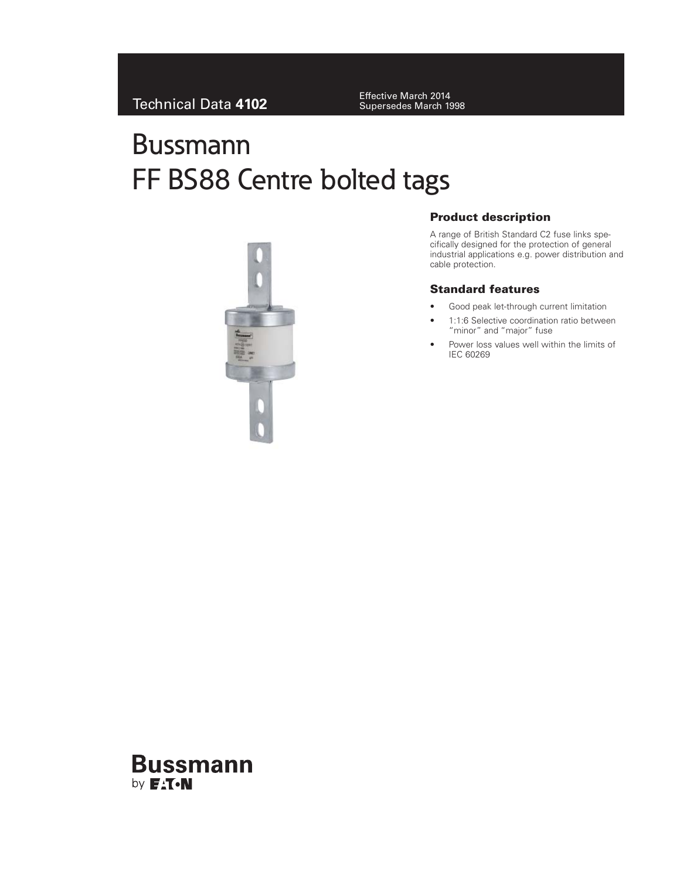Supersedes March 1998

# Bussmann FF BS88 Centre bolted tags



# **Product description**

A range of British Standard C2 fuse links specifically designed for the protection of general industrial applications e.g. power distribution and cable protection.

# **Standard features**

- Good peak let-through current limitation
- 1:1:6 Selective coordination ratio between "minor" and "major" fuse
- Power loss values well within the limits of IEC 60269

# **Bussmann** by **F<sub>A</sub>T**.N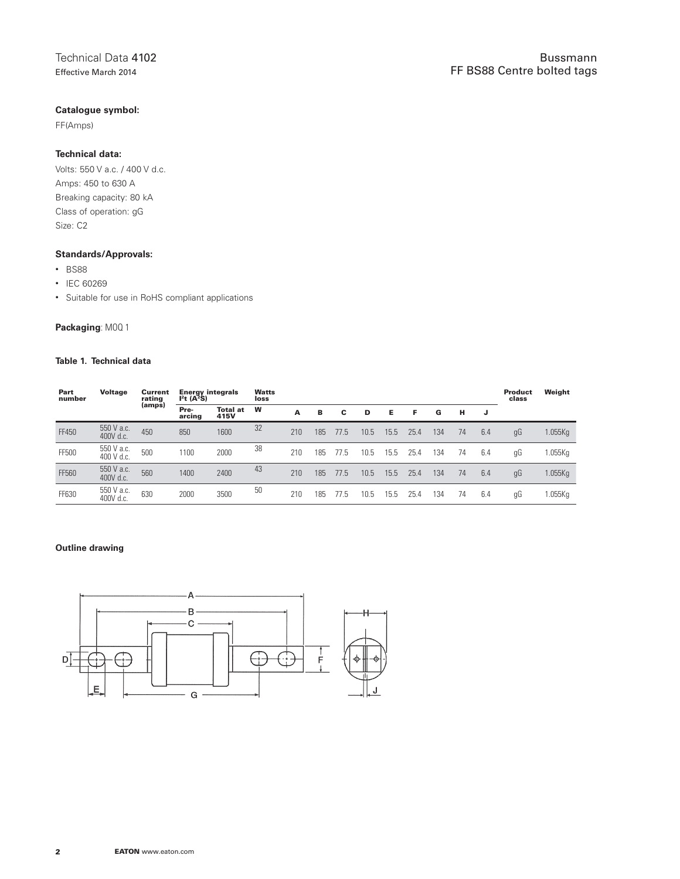# **Catalogue symbol:**

FF(Amps)

### **Technical data:**

Volts: 550 V a.c. / 400 V d.c. Amps: 450 to 630 A Breaking capacity: 80 kA Class of operation: gG Size: C2

#### **Standards/Approvals:**

- BS88
- IEC 60269
- Suitable for use in RoHS compliant applications

# **Packaging**: MOQ 1

#### **Table 1. Technical data**

| Part<br>number | <b>Voltage</b>           | Current<br>rating | <b>Energy integrals</b><br>$I^2t(A^2S)$ |                         | <b>Watts</b><br>loss |     |     |      |      |      |      |     |    |     | <b>Product</b><br>class | Weight  |
|----------------|--------------------------|-------------------|-----------------------------------------|-------------------------|----------------------|-----|-----|------|------|------|------|-----|----|-----|-------------------------|---------|
|                |                          | (amps)            | Pre-<br>arcing                          | <b>Total at</b><br>415V | W                    | A   | в   | С    | D    | Е    | F    | G   | н  |     |                         |         |
| FF450          | 550 V a.c.<br>400V d.c.  | 450               | 850                                     | 1600                    | 32                   | 210 | 185 | 77.5 | 10.5 | 15.5 | 25.4 | 134 | 74 | 6.4 | gG                      | 1.055Kg |
| FF500          | 550 V a.c.<br>400 V d.c. | 500               | 1100                                    | 2000                    | 38                   | 210 | 185 | 11.5 | 10.5 | 15.5 | 25.4 | 134 | 74 | 6.4 | gG                      | .055Kg  |
| FF560          | 550 V a.c.<br>400V d.c.  | 560               | 1400                                    | 2400                    | 43                   | 210 | 185 | 77.5 | 10.5 | 15.5 | 25.4 | 134 | 74 | 6.4 | gG                      | 1.055Kg |
| FF630          | 550 V a.c.<br>400V d.c.  | 630               | 2000                                    | 3500                    | 50                   | 210 | 185 |      | 10.5 | 15.5 | 25.4 | 134 | 74 | 6.4 | gG                      | .055Kg  |

#### **Outline drawing**